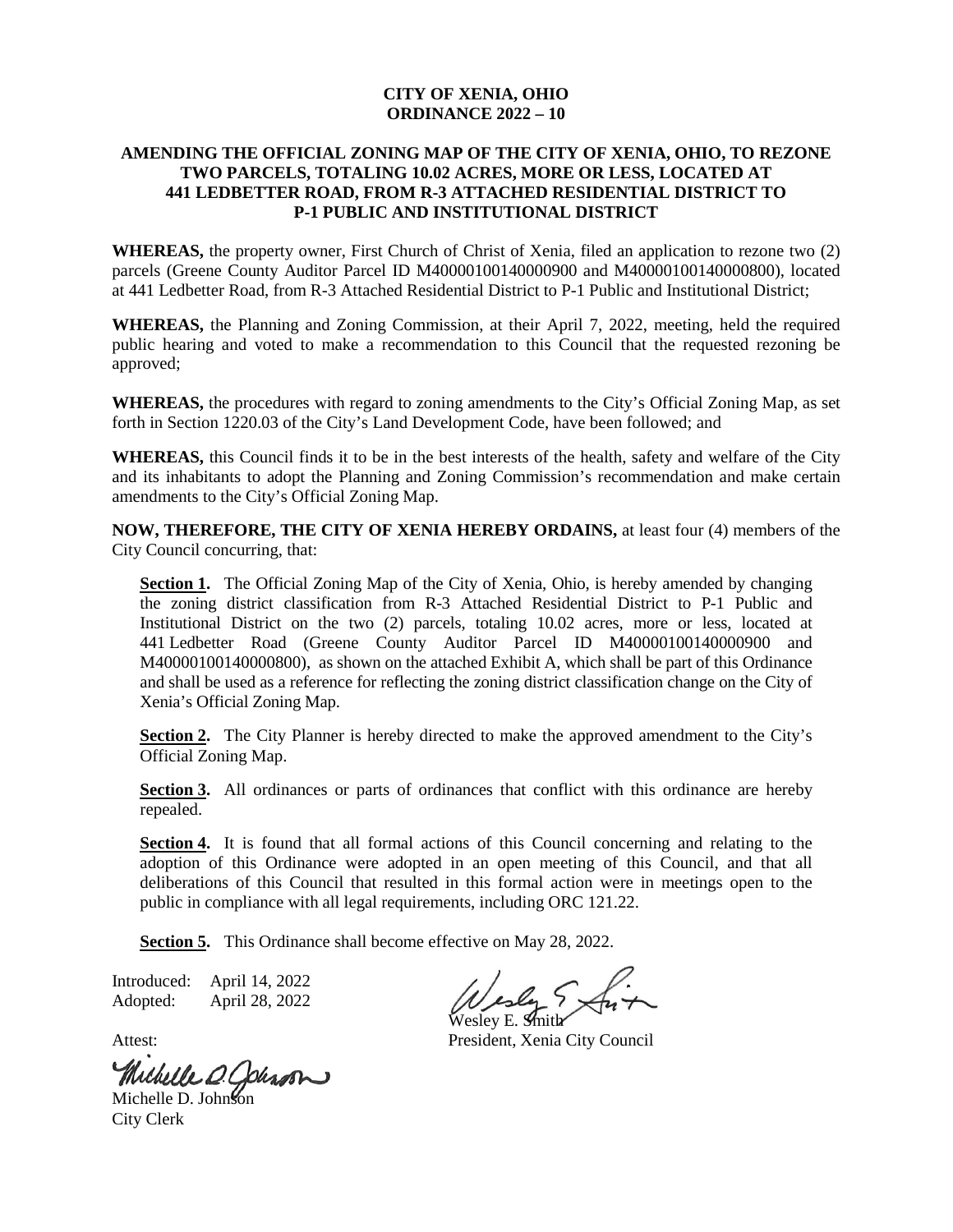## **CITY OF XENIA, OHIO ORDINANCE 2022 – 10**

## **AMENDING THE OFFICIAL ZONING MAP OF THE CITY OF XENIA, OHIO, TO REZONE TWO PARCELS, TOTALING 10.02 ACRES, MORE OR LESS, LOCATED AT 441 LEDBETTER ROAD, FROM R-3 ATTACHED RESIDENTIAL DISTRICT TO P-1 PUBLIC AND INSTITUTIONAL DISTRICT**

**WHEREAS,** the property owner, First Church of Christ of Xenia, filed an application to rezone two (2) parcels (Greene County Auditor Parcel ID M40000100140000900 and M40000100140000800), located at 441 Ledbetter Road, from R-3 Attached Residential District to P-1 Public and Institutional District;

**WHEREAS,** the Planning and Zoning Commission, at their April 7, 2022, meeting, held the required public hearing and voted to make a recommendation to this Council that the requested rezoning be approved;

**WHEREAS,** the procedures with regard to zoning amendments to the City's Official Zoning Map, as set forth in Section 1220.03 of the City's Land Development Code, have been followed; and

**WHEREAS,** this Council finds it to be in the best interests of the health, safety and welfare of the City and its inhabitants to adopt the Planning and Zoning Commission's recommendation and make certain amendments to the City's Official Zoning Map.

**NOW, THEREFORE, THE CITY OF XENIA HEREBY ORDAINS,** at least four (4) members of the City Council concurring, that:

**Section 1.** The Official Zoning Map of the City of Xenia, Ohio, is hereby amended by changing the zoning district classification from R-3 Attached Residential District to P-1 Public and Institutional District on the two (2) parcels, totaling 10.02 acres, more or less, located at 441 Ledbetter Road (Greene County Auditor Parcel ID M40000100140000900 and M40000100140000800), as shown on the attached Exhibit A, which shall be part of this Ordinance and shall be used as a reference for reflecting the zoning district classification change on the City of Xenia's Official Zoning Map.

**Section 2.** The City Planner is hereby directed to make the approved amendment to the City's Official Zoning Map.

**Section 3.** All ordinances or parts of ordinances that conflict with this ordinance are hereby repealed.

Section 4. It is found that all formal actions of this Council concerning and relating to the adoption of this Ordinance were adopted in an open meeting of this Council, and that all deliberations of this Council that resulted in this formal action were in meetings open to the public in compliance with all legal requirements, including ORC 121.22.

**Section 5.** This Ordinance shall become effective on May 28, 2022.

Introduced: April 14, 2022 Adopted: April 28, 2022

Michelle O. Johnson

City Clerk

Wesley E. **S**mith

Attest: President, Xenia City Council